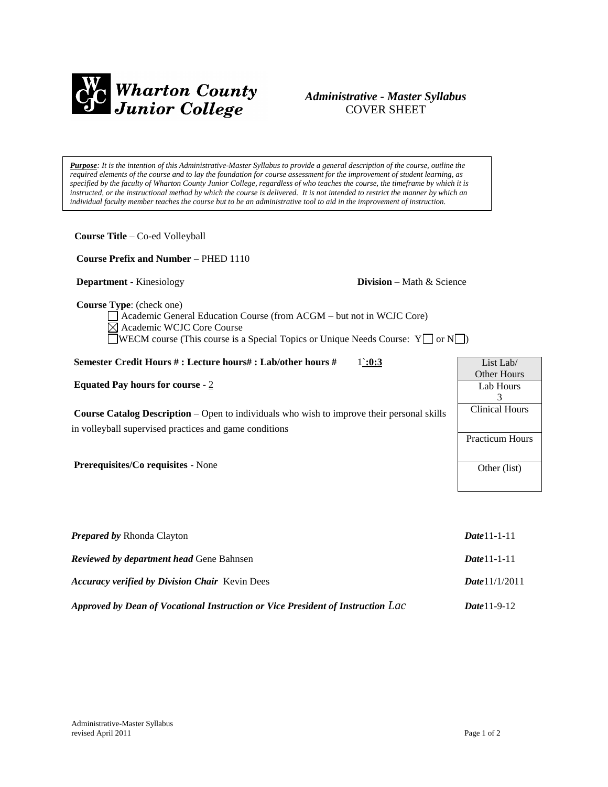

## *Administrative - Master Syllabus*  COVER SHEET

*Purpose: It is the intention of this Administrative-Master Syllabus to provide a general description of the course, outline the required elements of the course and to lay the foundation for course assessment for the improvement of student learning, as specified by the faculty of Wharton County Junior College, regardless of who teaches the course, the timeframe by which it is instructed, or the instructional method by which the course is delivered. It is not intended to restrict the manner by which an individual faculty member teaches the course but to be an administrative tool to aid in the improvement of instruction.*

**Course Title** – Co-ed Volleyball  **Course Prefix and Number** – PHED 1110 **Department** - Kinesiology **Division** – Math & Science  **Course Type**: (check one) Academic General Education Course (from ACGM – but not in WCJC Core) Academic WCJC Core Course  $\Box$ WECM course (This course is a Special Topics or Unique Needs Course: Y $\Box$  or N $\Box$ ) **Semester Credit Hours # : Lecture hours# : Lab/other hours #** 1`**:0:3 Equated Pay hours for course** - 2 **Course Catalog Description** – Open to individuals who wish to improve their personal skills in volleyball supervised practices and game conditions **Prerequisites/Co requisites** - None *Prepared by* Rhonda Clayton *Date*11-1-11 List Lab/ Other Hours Lab Hours 3 Clinical Hours Practicum Hours Other (list)

| <b>Reviewed by department head Gene Bahnsen</b>                                 | $Date 11 - 1 - 11$      |
|---------------------------------------------------------------------------------|-------------------------|
| <b>Accuracy verified by Division Chair</b> Kevin Dees                           | <b>Date</b> $11/1/2011$ |
| Approved by Dean of Vocational Instruction or Vice President of Instruction Lac | <b>Date</b> 11-9-12     |